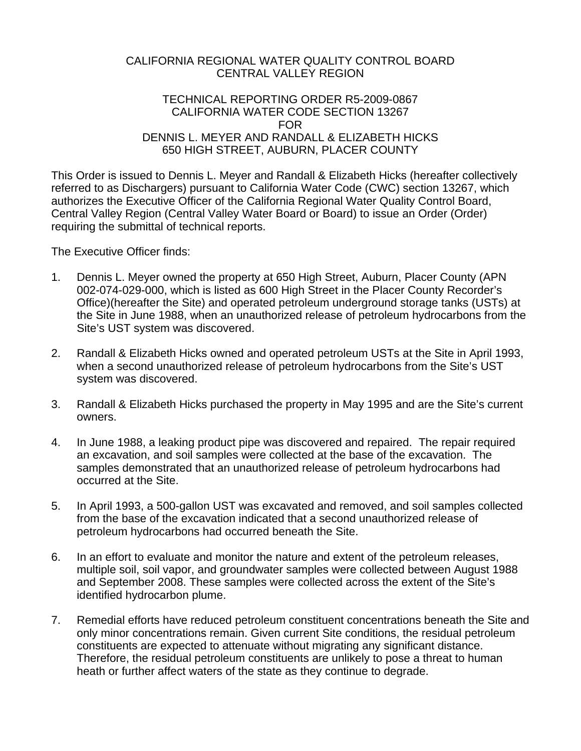## CALIFORNIA REGIONAL WATER QUALITY CONTROL BOARD CENTRAL VALLEY REGION

## TECHNICAL REPORTING ORDER R5-2009-0867 CALIFORNIA WATER CODE SECTION 13267 FOR DENNIS L. MEYER AND RANDALL & ELIZABETH HICKS 650 HIGH STREET, AUBURN, PLACER COUNTY

This Order is issued to Dennis L. Meyer and Randall & Elizabeth Hicks (hereafter collectively referred to as Dischargers) pursuant to California Water Code (CWC) section 13267, which authorizes the Executive Officer of the California Regional Water Quality Control Board, Central Valley Region (Central Valley Water Board or Board) to issue an Order (Order) requiring the submittal of technical reports.

The Executive Officer finds:

- 1. Dennis L. Meyer owned the property at 650 High Street, Auburn, Placer County (APN 002-074-029-000, which is listed as 600 High Street in the Placer County Recorder's Office)(hereafter the Site) and operated petroleum underground storage tanks (USTs) at the Site in June 1988, when an unauthorized release of petroleum hydrocarbons from the Site's UST system was discovered.
- 2. Randall & Elizabeth Hicks owned and operated petroleum USTs at the Site in April 1993, when a second unauthorized release of petroleum hydrocarbons from the Site's UST system was discovered.
- 3. Randall & Elizabeth Hicks purchased the property in May 1995 and are the Site's current owners.
- 4. In June 1988, a leaking product pipe was discovered and repaired. The repair required an excavation, and soil samples were collected at the base of the excavation. The samples demonstrated that an unauthorized release of petroleum hydrocarbons had occurred at the Site.
- 5. In April 1993, a 500-gallon UST was excavated and removed, and soil samples collected from the base of the excavation indicated that a second unauthorized release of petroleum hydrocarbons had occurred beneath the Site.
- 6. In an effort to evaluate and monitor the nature and extent of the petroleum releases, multiple soil, soil vapor, and groundwater samples were collected between August 1988 and September 2008. These samples were collected across the extent of the Site's identified hydrocarbon plume.
- 7. Remedial efforts have reduced petroleum constituent concentrations beneath the Site and only minor concentrations remain. Given current Site conditions, the residual petroleum constituents are expected to attenuate without migrating any significant distance. Therefore, the residual petroleum constituents are unlikely to pose a threat to human heath or further affect waters of the state as they continue to degrade.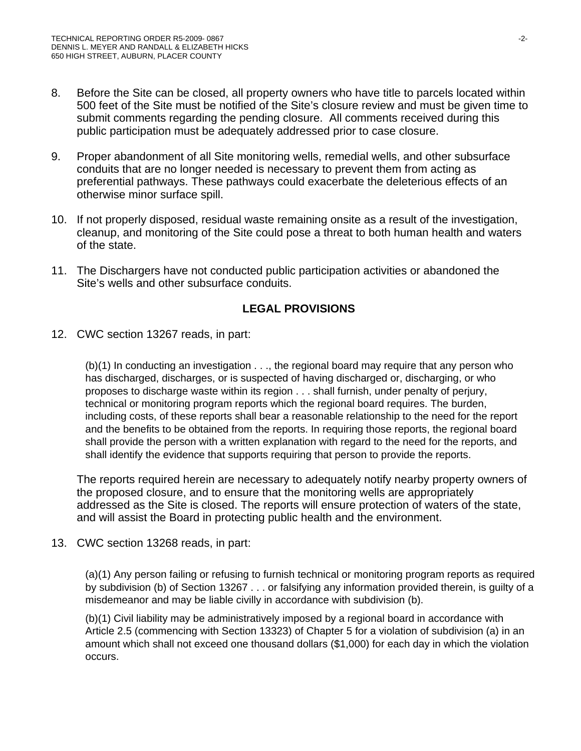- 8. Before the Site can be closed, all property owners who have title to parcels located within 500 feet of the Site must be notified of the Site's closure review and must be given time to submit comments regarding the pending closure. All comments received during this public participation must be adequately addressed prior to case closure.
- 9. Proper abandonment of all Site monitoring wells, remedial wells, and other subsurface conduits that are no longer needed is necessary to prevent them from acting as preferential pathways. These pathways could exacerbate the deleterious effects of an otherwise minor surface spill.
- 10. If not properly disposed, residual waste remaining onsite as a result of the investigation, cleanup, and monitoring of the Site could pose a threat to both human health and waters of the state.
- 11. The Dischargers have not conducted public participation activities or abandoned the Site's wells and other subsurface conduits.

## **LEGAL PROVISIONS**

12. CWC section 13267 reads, in part:

(b)(1) In conducting an investigation . . ., the regional board may require that any person who has discharged, discharges, or is suspected of having discharged or, discharging, or who proposes to discharge waste within its region . . . shall furnish, under penalty of perjury, technical or monitoring program reports which the regional board requires. The burden, including costs, of these reports shall bear a reasonable relationship to the need for the report and the benefits to be obtained from the reports. In requiring those reports, the regional board shall provide the person with a written explanation with regard to the need for the reports, and shall identify the evidence that supports requiring that person to provide the reports.

 The reports required herein are necessary to adequately notify nearby property owners of the proposed closure, and to ensure that the monitoring wells are appropriately addressed as the Site is closed. The reports will ensure protection of waters of the state, and will assist the Board in protecting public health and the environment.

13. CWC section 13268 reads, in part:

(a)(1) Any person failing or refusing to furnish technical or monitoring program reports as required by subdivision (b) of Section 13267 . . . or falsifying any information provided therein, is guilty of a misdemeanor and may be liable civilly in accordance with subdivision (b).

(b)(1) Civil liability may be administratively imposed by a regional board in accordance with Article 2.5 (commencing with Section 13323) of Chapter 5 for a violation of subdivision (a) in an amount which shall not exceed one thousand dollars (\$1,000) for each day in which the violation occurs.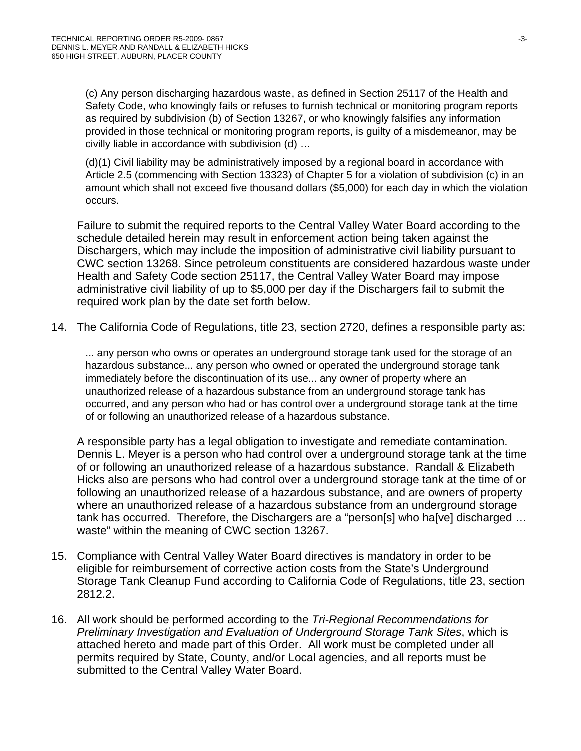(c) Any person discharging hazardous waste, as defined in Section 25117 of the Health and Safety Code, who knowingly fails or refuses to furnish technical or monitoring program reports as required by subdivision (b) of Section 13267, or who knowingly falsifies any information provided in those technical or monitoring program reports, is guilty of a misdemeanor, may be civilly liable in accordance with subdivision (d) …

(d)(1) Civil liability may be administratively imposed by a regional board in accordance with Article 2.5 (commencing with Section 13323) of Chapter 5 for a violation of subdivision (c) in an amount which shall not exceed five thousand dollars (\$5,000) for each day in which the violation occurs.

Failure to submit the required reports to the Central Valley Water Board according to the schedule detailed herein may result in enforcement action being taken against the Dischargers, which may include the imposition of administrative civil liability pursuant to CWC section 13268. Since petroleum constituents are considered hazardous waste under Health and Safety Code section 25117, the Central Valley Water Board may impose administrative civil liability of up to \$5,000 per day if the Dischargers fail to submit the required work plan by the date set forth below.

14. The California Code of Regulations, title 23, section 2720, defines a responsible party as:

... any person who owns or operates an underground storage tank used for the storage of an hazardous substance... any person who owned or operated the underground storage tank immediately before the discontinuation of its use... any owner of property where an unauthorized release of a hazardous substance from an underground storage tank has occurred, and any person who had or has control over a underground storage tank at the time of or following an unauthorized release of a hazardous substance.

A responsible party has a legal obligation to investigate and remediate contamination. Dennis L. Meyer is a person who had control over a underground storage tank at the time of or following an unauthorized release of a hazardous substance. Randall & Elizabeth Hicks also are persons who had control over a underground storage tank at the time of or following an unauthorized release of a hazardous substance, and are owners of property where an unauthorized release of a hazardous substance from an underground storage tank has occurred. Therefore, the Dischargers are a "person[s] who ha[ve] discharged … waste" within the meaning of CWC section 13267.

- 15. Compliance with Central Valley Water Board directives is mandatory in order to be eligible for reimbursement of corrective action costs from the State's Underground Storage Tank Cleanup Fund according to California Code of Regulations, title 23, section 2812.2.
- 16. All work should be performed according to the *Tri-Regional Recommendations for Preliminary Investigation and Evaluation of Underground Storage Tank Sites*, which is attached hereto and made part of this Order. All work must be completed under all permits required by State, County, and/or Local agencies, and all reports must be submitted to the Central Valley Water Board.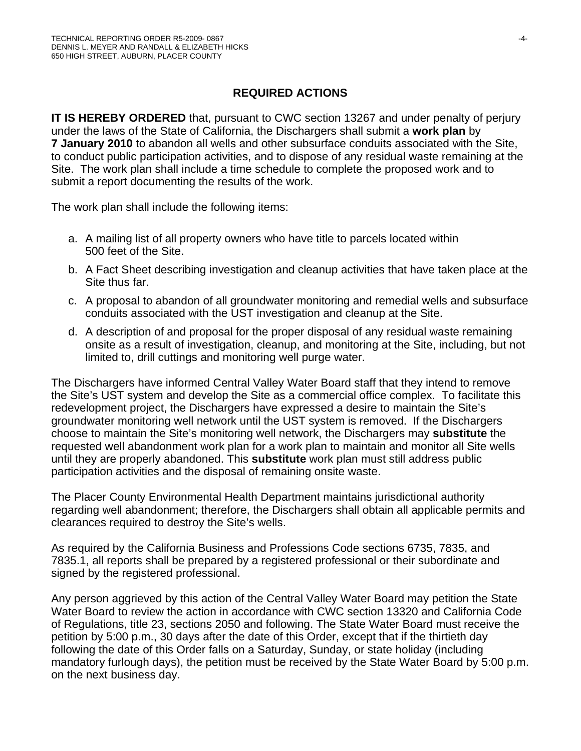## **REQUIRED ACTIONS**

**IT IS HEREBY ORDERED** that, pursuant to CWC section 13267 and under penalty of perjury under the laws of the State of California, the Dischargers shall submit a **work plan** by **7 January 2010** to abandon all wells and other subsurface conduits associated with the Site, to conduct public participation activities, and to dispose of any residual waste remaining at the Site. The work plan shall include a time schedule to complete the proposed work and to submit a report documenting the results of the work.

The work plan shall include the following items:

- a. A mailing list of all property owners who have title to parcels located within 500 feet of the Site.
- b. A Fact Sheet describing investigation and cleanup activities that have taken place at the Site thus far.
- c. A proposal to abandon of all groundwater monitoring and remedial wells and subsurface conduits associated with the UST investigation and cleanup at the Site.
- d. A description of and proposal for the proper disposal of any residual waste remaining onsite as a result of investigation, cleanup, and monitoring at the Site, including, but not limited to, drill cuttings and monitoring well purge water.

The Dischargers have informed Central Valley Water Board staff that they intend to remove the Site's UST system and develop the Site as a commercial office complex. To facilitate this redevelopment project, the Dischargers have expressed a desire to maintain the Site's groundwater monitoring well network until the UST system is removed. If the Dischargers choose to maintain the Site's monitoring well network, the Dischargers may **substitute** the requested well abandonment work plan for a work plan to maintain and monitor all Site wells until they are properly abandoned. This **substitute** work plan must still address public participation activities and the disposal of remaining onsite waste.

The Placer County Environmental Health Department maintains jurisdictional authority regarding well abandonment; therefore, the Dischargers shall obtain all applicable permits and clearances required to destroy the Site's wells.

As required by the California Business and Professions Code sections 6735, 7835, and 7835.1, all reports shall be prepared by a registered professional or their subordinate and signed by the registered professional.

Any person aggrieved by this action of the Central Valley Water Board may petition the State Water Board to review the action in accordance with CWC section 13320 and California Code of Regulations, title 23, sections 2050 and following. The State Water Board must receive the petition by 5:00 p.m., 30 days after the date of this Order, except that if the thirtieth day following the date of this Order falls on a Saturday, Sunday, or state holiday (including mandatory furlough days), the petition must be received by the State Water Board by 5:00 p.m. on the next business day.